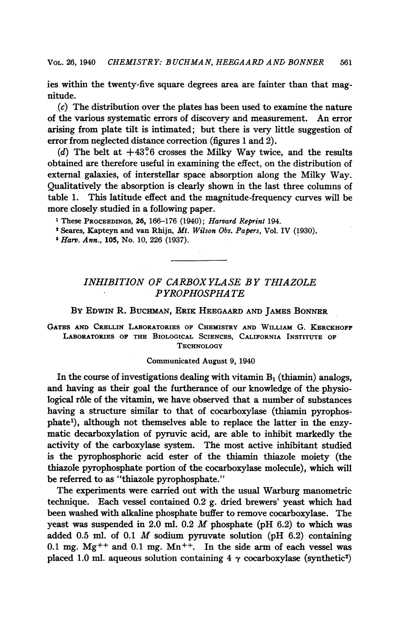ies within the twenty-five square degrees area are fainter than that magnitude.

(c) The distribution over the plates has been used to examine the nature of the various systematic errors of discovery and measurement. An error arising from plate tilt is intimated; but there is very little suggestion of error from neglected distance correction (figures <sup>1</sup> and 2).

(d) The belt at  $+43.6$  crosses the Milky Way twice, and the results obtained are therefore useful in examining the effect, on the distribution of external galaxies, of interstellar space absorption along the Milky Way. Qualitatively the absorption is clearly shown in the last three columns of table 1. This latitude effect and the magnitude-frequency curves will be more closely studied in a following paper.

<sup>1</sup> These PROCEEDINGS, 26, 166-176 (1940); Harvard Reprint 194.

<sup>2</sup> Seares, Kapteyn and van Rhijn, Mt. Wilson Obs. Papers, Vol. IV (1930).

<sup>3</sup> Harv. Ann., 105, No. 10, 226 (1937).

# INHIBITION OF CARBOXYLASE BY THIAZOLE PYROPHOSPHA TE

## By EDWIN R. BUCHMAN, ERIK HEEGAARD AND JAMES BONNER

GATES AND CRELLIN LABORATORIES OF CHEMISTRY AND WILLIAM G. KERCKHOFF LABORATORIES OF THE BIOLOGICAL SCIENCES, CALIFORNIA INSTITUTE OF **TECHNOLOGY** 

### Communicated August 9, 1940

In the course of investigations dealing with vitamin  $B_1$  (thiamin) analogs, and having as their goal the furtherance of our knowledge of the physiological r6le of the vitamin, we have observed that a number of substances having a structure similar to that of cocarboxylase (thiamin pyrophosphatel), although not themselves able to replace the latter in the enzymatic decarboxylation of pyruvic acid, are able to inhibit markedly the activity of the carboxylase system. The most active inhibitant studied is the pyrophosphoric acid ester of the thiamin thiazole moiety (the thiazole pyrophosphate portion of the cocarboxylase molecule), which will be referred to as "thiazole pyrophosphate."

The experiments were carried out with the usual Warburg manometric technique. Each vessel contained 0.2 g. dried brewers' yeast which had been washed with alkaline phosphate buffer to remove cocarboxylase. The yeast was suspended in 2.0 ml.  $0.2$  *M* phosphate (pH  $6.2$ ) to which was added 0.5 ml. of 0.1  $M$  sodium pyruvate solution (pH 6.2) containing 0.1 mg.  $Mg^{++}$  and 0.1 mg.  $Mn^{++}$ . In the side arm of each vessel was placed 1.0 ml. aqueous solution containing 4  $\gamma$  cocarboxylase (synthetic<sup>2</sup>)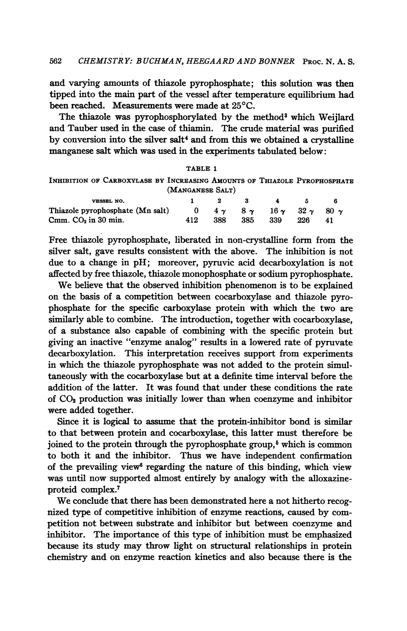and varying amounts of thiazole pyrophosphate; this solution was then tipped into the main part of the vessel after temperature equilibrium had been reached. Measurements were made at 25°C.

The thiazole was pyrophosphorylated by the method<sup>3</sup> which Weijlard and Tauber used in the case of thiamin. The crude material was purified by conversion into the silver salt<sup>4</sup> and from this we obtained a crystalline manganese salt which was used in the experiments tabulated below:

### TABLE <sup>1</sup>

INHIBITION OF CARBOXYLASE BY INCREASING AMOUNTS oF THIAZOLE PYROPHOSPHATE (MANGANESE SALT)

| VESSEL NO.                       |     |     | 2 3   | $\blacksquare$                                         | - 5 - 5 |     |
|----------------------------------|-----|-----|-------|--------------------------------------------------------|---------|-----|
| Thiazole pyrophosphate (Mn salt) |     |     |       | 0 $4\gamma$ $8\gamma$ $16\gamma$ $32\gamma$ $80\gamma$ |         |     |
| $Cmm$ . $CO2$ in 30 min.         | 412 | 388 | - 385 | - 339                                                  | -226    | -41 |

Free thiazole pyrophosphate, liberated in non-crystalline form from the silver salt, gave results consistent with the above. The inhibition is not due to a change in pH; moreover, pyruvic acid decarboxylation is not affected by free thiazole, thiazole monophosphate or sodium pyrophosphate.

We believe that the observed inhibition phenomenon is to be explained on the basis of a competition between cocarboxylase and thiazole pyrophosphate for the specific carboxylase protein with which the two are similarly able to combine. The introduction, together with cocarboxylase, of a substance also capable of combining with the specific protein but giving an inactive "enzyme analog" results in a lowered rate of pyruvate decarboxylation. This interpretation receives support from experiments in which the thiazole pyrophosphate was not added to the protein simultaneously with the cocarboxylase but at a definite time interval before the addition of the latter. It was found that under these conditions the rate of  $CO<sub>2</sub>$  production was initially lower than when coenzyme and inhibitor were added together.

Since it is logical to assume that the protein-inhibitor bond is similar to that between protein and cocarboxylase, this latter must therefore be joined to the protein through the pyrophosphate group, $\delta$  which is common to both it and the inhibitor. Thus we have independent confirmation of the prevailing view<sup>6</sup> regarding the nature of this binding, which view was until now supported almost entirely by analogy with the alloxazineproteid complex.7

We conclude that there has been demonstrated here <sup>a</sup> not hitherto recognized type of competitive inhibition of enzyme reactions, caused by competition not between substrate and inhibitor but between coenzyme and inhibitor. The importance of this type of inhibition must be emphasized because its study may throw light on structural relationships in protein chemistry and on enzyme reaction kinetics and also because there is the